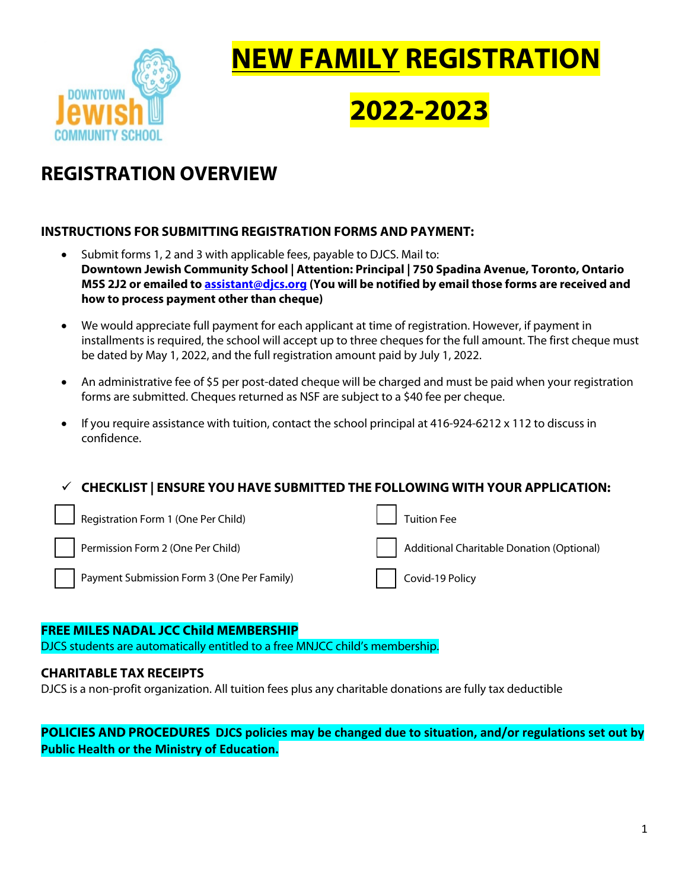

# **NEW FAMILY REGISTRATION**

# **2022-2023**

# **REGISTRATION OVERVIEW**

# **INSTRUCTIONS FOR SUBMITTING REGISTRATION FORMS AND PAYMENT:**

- Submit forms 1, 2 and 3 with applicable fees, payable to DJCS. Mail to: **Downtown Jewish Community School | Attention: Principal | 750 Spadina Avenue, Toronto, Ontario M5S 2J2 or emailed to assistant@djcs.org (You will be notified by email those forms are received and how to process payment other than cheque)**
- We would appreciate full payment for each applicant at time of registration. However, if payment in installments is required, the school will accept up to three cheques for the full amount. The first cheque must be dated by May 1, 2022, and the full registration amount paid by July 1, 2022.
- An administrative fee of \$5 per post-dated cheque will be charged and must be paid when your registration forms are submitted. Cheques returned as NSF are subject to a \$40 fee per cheque.
- If you require assistance with tuition, contact the school principal at 416-924-6212 x 112 to discuss in confidence.

ü **CHECKLIST | ENSURE YOU HAVE SUBMITTED THE FOLLOWING WITH YOUR APPLICATION:**

| Registration Form 1 (One Per Child)        | <b>Tuition Fee</b>                        |
|--------------------------------------------|-------------------------------------------|
| Permission Form 2 (One Per Child)          | Additional Charitable Donation (Optional) |
| Payment Submission Form 3 (One Per Family) | Covid-19 Policy                           |

# **FREE MILES NADAL JCC Child MEMBERSHIP**

DJCS students are automatically entitled to a free MNJCC child's membership.

# **CHARITABLE TAX RECEIPTS**

DJCS is a non-profit organization. All tuition fees plus any charitable donations are fully tax deductible

**POLICIES AND PROCEDURES DJCS policies may be changed due to situation, and/or regulations set out by Public Health or the Ministry of Education.**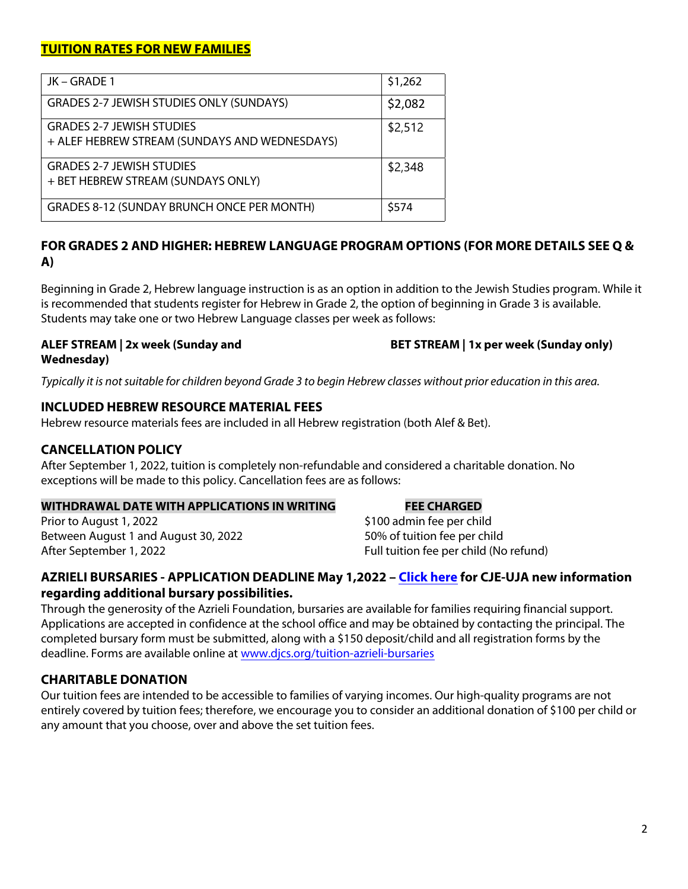# **TUITION RATES FOR NEW FAMILIES**

| JK – GRADE 1                                                                      | \$1,262 |
|-----------------------------------------------------------------------------------|---------|
| <b>GRADES 2-7 JEWISH STUDIES ONLY (SUNDAYS)</b>                                   | \$2,082 |
| <b>GRADES 2-7 JEWISH STUDIES</b><br>+ ALEF HEBREW STREAM (SUNDAYS AND WEDNESDAYS) | \$2,512 |
| <b>GRADES 2-7 JEWISH STUDIES</b><br>+ BET HEBREW STREAM (SUNDAYS ONLY)            | \$2,348 |
| <b>GRADES 8-12 (SUNDAY BRUNCH ONCE PER MONTH)</b>                                 | \$574   |

# **FOR GRADES 2 AND HIGHER: HEBREW LANGUAGE PROGRAM OPTIONS (FOR MORE DETAILS SEE Q & A)**

Beginning in Grade 2, Hebrew language instruction is as an option in addition to the Jewish Studies program. While it is recommended that students register for Hebrew in Grade 2, the option of beginning in Grade 3 is available. Students may take one or two Hebrew Language classes per week as follows:

## **ALEF STREAM | 2x week (Sunday and Wednesday)**

**BET STREAM | 1x per week (Sunday only)**

*Typically it is notsuitable for children beyond Grade 3 to begin Hebrew classes without prior education in this area.*

# **INCLUDED HEBREW RESOURCE MATERIAL FEES**

Hebrew resource materials fees are included in all Hebrew registration (both Alef & Bet).

# **CANCELLATION POLICY**

After September 1, 2022, tuition is completely non-refundable and considered a charitable donation. No exceptions will be made to this policy. Cancellation fees are as follows:

# **WITHDRAWAL DATE WITH APPLICATIONS IN WRITING FEE CHARGED**

Prior to August 1, 2022 **1998 1998 100 admin fee per child** Between August 1 and August 30, 2022 50% of tuition fee per child After September 1, 2022 **Full tuition fee per child (No refund)** 

# **AZRIELI BURSARIES - APPLICATION DEADLINE May 1,2022 – [Click here](https://2761d0f4-d331-47f2-b371-a5751e192028.usrfiles.com/ugd/2761d0_57d45b4efb334ba3bfe244330031913b.pdf) for CJE-UJA new information regarding additional bursary possibilities.**

Through the generosity of the Azrieli Foundation, bursaries are available for families requiring financial support. Applications are accepted in confidence at the school office and may be obtained by contacting the principal. The completed bursary form must be submitted, along with a \$150 deposit/child and all registration forms by the deadline. Forms are available online at [www.djcs.org/tuition-azrieli-bursaries](https://www.djcs.org/tuition-azrieli-bursaries)

# **CHARITABLE DONATION**

Our tuition fees are intended to be accessible to families of varying incomes. Our high-quality programs are not entirely covered by tuition fees; therefore, we encourage you to consider an additional donation of \$100 per child or any amount that you choose, over and above the set tuition fees.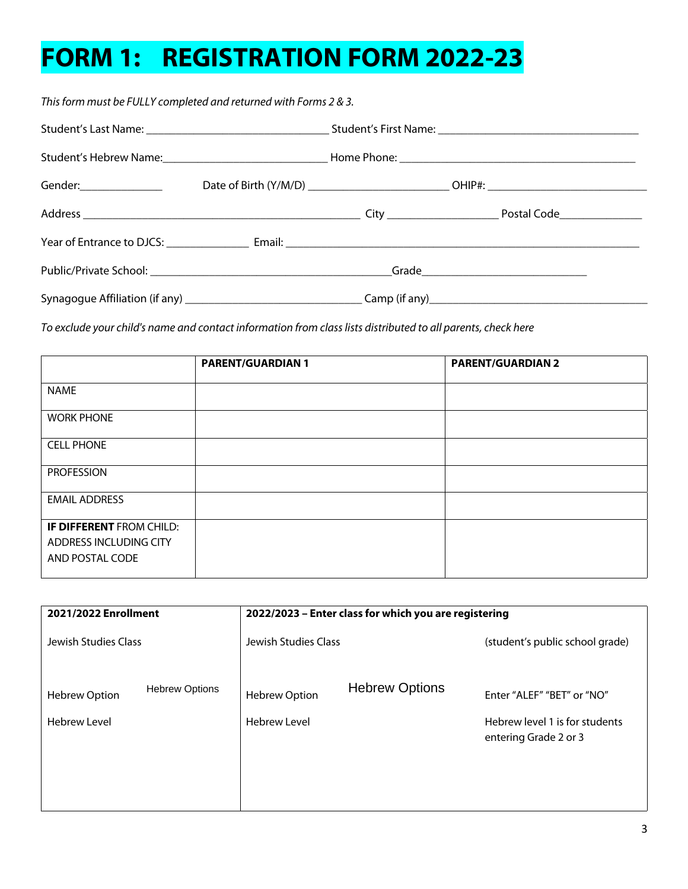# **FORM 1: REGISTRATION FORM 2022-23**

*This form must be FULLY completed and returned with Forms 2 & 3.*

| Gender:_________________ |  | Date of Birth (Y/M/D) _________________________________OHIP#: ___________________ |  |
|--------------------------|--|-----------------------------------------------------------------------------------|--|
|                          |  |                                                                                   |  |
|                          |  |                                                                                   |  |
|                          |  |                                                                                   |  |
|                          |  |                                                                                   |  |

*To exclude your child's name and contact information from class lists distributed to all parents, check here* 

|                          | <b>PARENT/GUARDIAN 1</b> | <b>PARENT/GUARDIAN 2</b> |
|--------------------------|--------------------------|--------------------------|
| <b>NAME</b>              |                          |                          |
| <b>WORK PHONE</b>        |                          |                          |
| <b>CELL PHONE</b>        |                          |                          |
| <b>PROFESSION</b>        |                          |                          |
| <b>EMAIL ADDRESS</b>     |                          |                          |
| IF DIFFERENT FROM CHILD: |                          |                          |
| ADDRESS INCLUDING CITY   |                          |                          |
| AND POSTAL CODE          |                          |                          |

| 2021/2022 Enrollment                          | 2022/2023 - Enter class for which you are registering |                                                         |
|-----------------------------------------------|-------------------------------------------------------|---------------------------------------------------------|
| Jewish Studies Class                          | Jewish Studies Class                                  | (student's public school grade)                         |
| <b>Hebrew Options</b><br><b>Hebrew Option</b> | <b>Hebrew Options</b><br><b>Hebrew Option</b>         | Enter "ALEF" "BET" or "NO"                              |
| <b>Hebrew Level</b>                           | <b>Hebrew Level</b>                                   | Hebrew level 1 is for students<br>entering Grade 2 or 3 |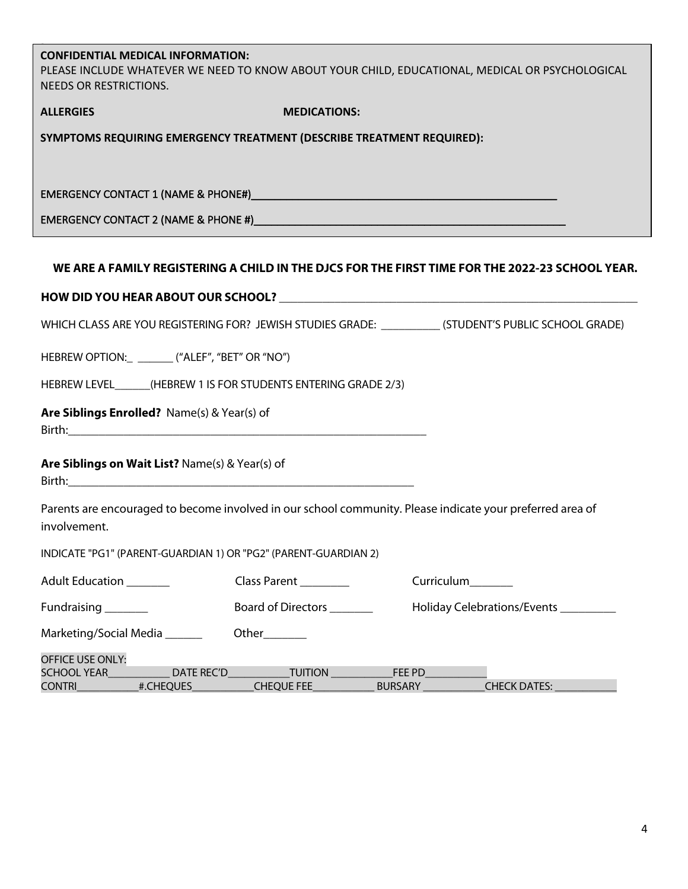# **CONFIDENTIAL MEDICAL INFORMATION:**

PLEASE INCLUDE WHATEVER WE NEED TO KNOW ABOUT YOUR CHILD, EDUCATIONAL, MEDICAL OR PSYCHOLOGICAL NEEDS OR RESTRICTIONS.

| <b>ALLERGIES</b>                                                                                                                                                                                                               | <b>MEDICATIONS:</b>                      |                                                                                                           |
|--------------------------------------------------------------------------------------------------------------------------------------------------------------------------------------------------------------------------------|------------------------------------------|-----------------------------------------------------------------------------------------------------------|
| SYMPTOMS REQUIRING EMERGENCY TREATMENT (DESCRIBE TREATMENT REQUIRED):                                                                                                                                                          |                                          |                                                                                                           |
|                                                                                                                                                                                                                                |                                          |                                                                                                           |
|                                                                                                                                                                                                                                |                                          |                                                                                                           |
| EMERGENCY CONTACT 2 (NAME & PHONE #) And the contract of the contract of the contract of the contract of the contract of the contract of the contract of the contract of the contract of the contract of the contract of the c |                                          |                                                                                                           |
|                                                                                                                                                                                                                                |                                          |                                                                                                           |
|                                                                                                                                                                                                                                |                                          | WE ARE A FAMILY REGISTERING A CHILD IN THE DJCS FOR THE FIRST TIME FOR THE 2022-23 SCHOOL YEAR.           |
|                                                                                                                                                                                                                                |                                          |                                                                                                           |
|                                                                                                                                                                                                                                |                                          | WHICH CLASS ARE YOU REGISTERING FOR? JEWISH STUDIES GRADE: ___________(STUDENT'S PUBLIC SCHOOL GRADE)     |
| HEBREW OPTION: ________ ("ALEF", "BET" OR "NO")                                                                                                                                                                                |                                          |                                                                                                           |
| HEBREW LEVEL______(HEBREW 1 IS FOR STUDENTS ENTERING GRADE 2/3)                                                                                                                                                                |                                          |                                                                                                           |
| Are Siblings Enrolled? Name(s) & Year(s) of                                                                                                                                                                                    |                                          |                                                                                                           |
| Are Siblings on Wait List? Name(s) & Year(s) of                                                                                                                                                                                |                                          |                                                                                                           |
| involvement.                                                                                                                                                                                                                   |                                          | Parents are encouraged to become involved in our school community. Please indicate your preferred area of |
| INDICATE "PG1" (PARENT-GUARDIAN 1) OR "PG2" (PARENT-GUARDIAN 2)                                                                                                                                                                |                                          |                                                                                                           |
| Adult Education _______                                                                                                                                                                                                        | Class Parent ___________                 | Curriculum_______                                                                                         |
| Fundraising _______                                                                                                                                                                                                            | Board of Directors ________              | Holiday Celebrations/Events                                                                               |
| Marketing/Social Media ______                                                                                                                                                                                                  |                                          |                                                                                                           |
| OFFICE USE ONLY:                                                                                                                                                                                                               |                                          |                                                                                                           |
| DATE REC'D<br><b>SCHOOL YEAR</b><br>#.CHEQUES<br>CONTRI__________                                                                                                                                                              | <b>TUITION</b><br>CHEQUE FEE<br>BURSARY_ | FEE PD<br>CHECK DATES:                                                                                    |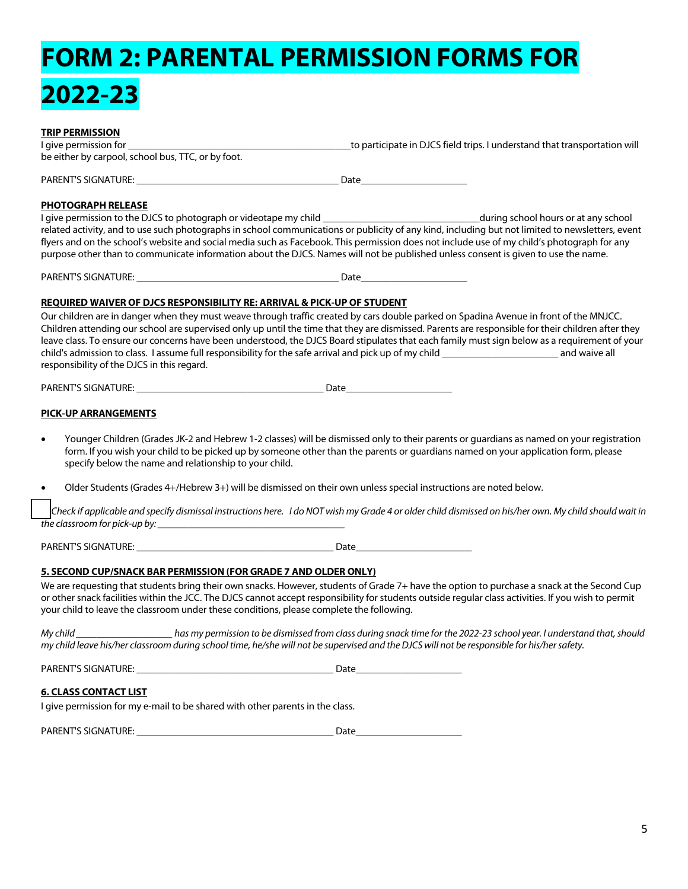# **FORM 2: PARENTAL PERMISSION FORMS FOR 2022-23**

### **TRIP PERMISSION**

I give permission for **Exercice 2** and the state of participate in DJCS field trips. I understand that transportation will be either by carpool, school bus, TTC, or by foot.

PARENT'S SIGNATURE: \_\_\_\_\_\_\_\_\_\_\_\_\_\_\_\_\_\_\_\_\_\_\_\_\_\_\_\_\_\_\_\_\_\_\_\_\_\_\_\_ Date\_\_\_\_\_\_\_\_\_\_\_\_\_\_\_\_\_\_\_\_\_

### **PHOTOGRAPH RELEASE**

I give permission to the DJCS to photograph or videotape my child \_\_\_\_\_\_\_\_\_\_\_\_\_\_\_\_\_\_\_\_\_\_\_\_\_\_\_\_\_\_\_during school hours or at any school related activity, and to use such photographs in school communications or publicity of any kind, including but not limited to newsletters, event flyers and on the school's website and social media such as Facebook. This permission does not include use of my child's photograph for any purpose other than to communicate information about the DJCS. Names will not be published unless consent is given to use the name.

PARENT'S SIGNATURE:  $\blacksquare$ 

### **REQUIRED WAIVER OF DJCS RESPONSIBILITY RE: ARRIVAL & PICK-UP OF STUDENT**

Our children are in danger when they must weave through traffic created by cars double parked on Spadina Avenue in front of the MNJCC. Children attending our school are supervised only up until the time that they are dismissed. Parents are responsible for their children after they leave class. To ensure our concerns have been understood, the DJCS Board stipulates that each family must sign below as a requirement of your child's admission to class. I assume full responsibility for the safe arrival and pick up of my child \_\_\_\_\_\_\_\_\_\_\_\_\_\_\_\_\_\_\_\_\_\_\_ and waive all responsibility of the DJCS in this regard.

PARENT'S SIGNATURE:  $\blacksquare$ 

### **PICK-UP ARRANGEMENTS**

- Younger Children (Grades JK-2 and Hebrew 1-2 classes) will be dismissed only to their parents or guardians as named on your registration form. If you wish your child to be picked up by someone other than the parents or guardians named on your application form, please specify below the name and relationship to your child.
- Older Students (Grades 4+/Hebrew 3+) will be dismissed on their own unless special instructions are noted below.

 *Check if applicable and specify dismissal instructions here. I do NOT wish my Grade 4 or older child dismissed on his/her own. My child should wait in the classroom for pick-up by: \_\_\_\_\_\_\_\_\_\_\_\_\_\_\_\_\_\_\_\_\_\_\_\_\_\_\_\_\_\_\_\_\_\_\_\_\_*

PARENT'S SIGNATURE:  $\blacksquare$ 

### **5. SECOND CUP/SNACK BAR PERMISSION (FOR GRADE 7 AND OLDER ONLY)**

We are requesting that students bring their own snacks. However, students of Grade 7+ have the option to purchase a snack at the Second Cup or other snack facilities within the JCC. The DJCS cannot accept responsibility for students outside regular class activities. If you wish to permit your child to leave the classroom under these conditions, please complete the following.

*My child \_\_\_\_\_\_\_\_\_\_\_\_\_\_\_\_\_\_\_ has my permission to be dismissed from class during snack time for the 2022-23 school year. I understand that, should my child leave his/her classroom during school time, he/she will not be supervised and the DJCS will not be responsible for his/her safety.*

PARENT'S SIGNATURE: \_\_\_\_\_\_\_\_\_\_\_\_\_\_\_\_\_\_\_\_\_\_\_\_\_\_\_\_\_\_\_\_\_\_\_\_\_\_\_ Date\_\_\_\_\_\_\_\_\_\_\_\_\_\_\_\_\_\_\_\_\_

### **6. CLASS CONTACT LIST**

I give permission for my e-mail to be shared with other parents in the class.

| <b>PARENT'S S</b><br>ure<br>CTC<br>$\mathbf{A}$<br>יי |  |
|-------------------------------------------------------|--|
|                                                       |  |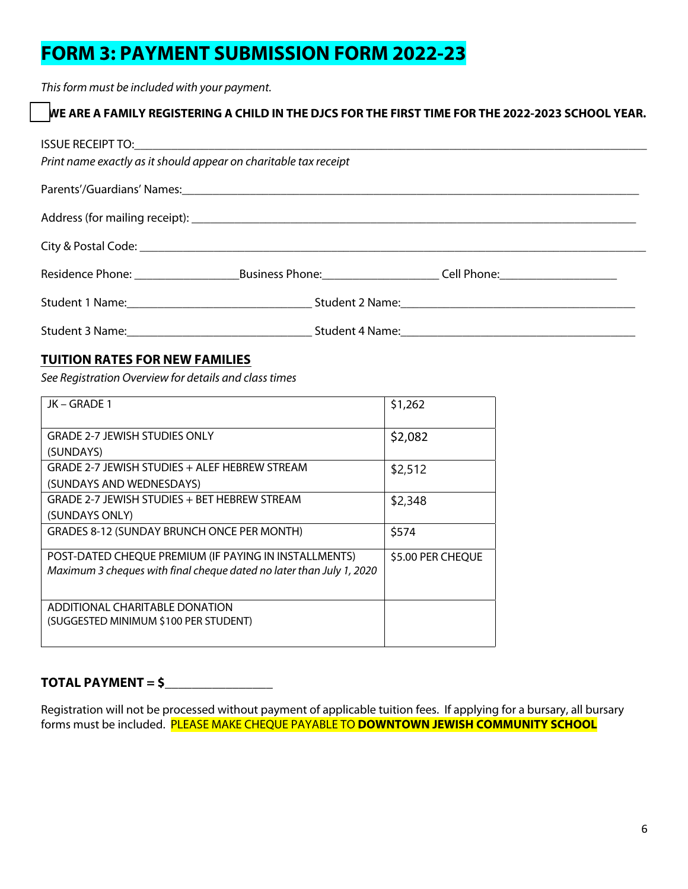# **FORM 3: PAYMENT SUBMISSION FORM 2022-23**

*This form must be included with your payment.*

# WE ARE A FAMILY REGISTERING A CHILD IN THE DJCS FOR THE FIRST TIME FOR THE 2022-2023 SCHOOL YEAR.

| Print name exactly as it should appear on charitable tax receipt |                                                                                                                |  |
|------------------------------------------------------------------|----------------------------------------------------------------------------------------------------------------|--|
|                                                                  | Parents'/Guardians' Names: 1988 and 2008 and 2008 and 2008 and 2008 and 2008 and 2008 and 2008 and 2008 and 20 |  |
|                                                                  |                                                                                                                |  |
|                                                                  |                                                                                                                |  |
|                                                                  |                                                                                                                |  |
|                                                                  |                                                                                                                |  |
|                                                                  |                                                                                                                |  |

# **TUITION RATES FOR NEW FAMILIES**

*See Registration Overview for details and class times*

| JK – GRADE 1                                                         | \$1,262           |
|----------------------------------------------------------------------|-------------------|
| <b>GRADE 2-7 JEWISH STUDIES ONLY</b>                                 | \$2,082           |
| (SUNDAYS)                                                            |                   |
| GRADE 2-7 JEWISH STUDIES + ALEF HEBREW STREAM                        | \$2,512           |
| (SUNDAYS AND WEDNESDAYS)                                             |                   |
| GRADE 2-7 JEWISH STUDIES + BET HEBREW STREAM                         | \$2,348           |
| (SUNDAYS ONLY)                                                       |                   |
| GRADES 8-12 (SUNDAY BRUNCH ONCE PER MONTH)                           | \$574             |
| POST-DATED CHEQUE PREMIUM (IF PAYING IN INSTALLMENTS)                | \$5.00 PER CHEQUE |
| Maximum 3 cheques with final cheque dated no later than July 1, 2020 |                   |
|                                                                      |                   |
| ADDITIONAL CHARITABLE DONATION                                       |                   |
| (SUGGESTED MINIMUM \$100 PER STUDENT)                                |                   |
|                                                                      |                   |

# **TOTAL PAYMENT = \$\_\_\_\_\_\_\_\_\_\_\_\_\_\_\_\_**

Registration will not be processed without payment of applicable tuition fees. If applying for a bursary, all bursary forms must be included. PLEASE MAKE CHEQUE PAYABLE TO **DOWNTOWN JEWISH COMMUNITY SCHOOL**